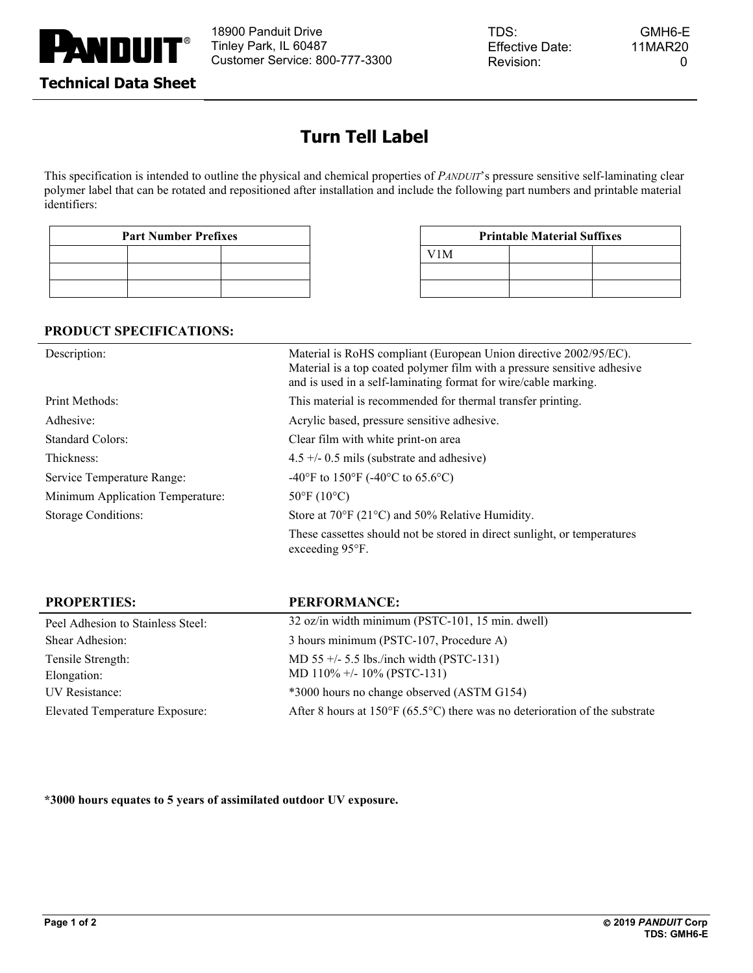

# **Turn Tell Label**

This specification is intended to outline the physical and chemical properties of *PANDUIT*'s pressure sensitive self-laminating clear polymer label that can be rotated and repositioned after installation and include the following part numbers and printable material identifiers:

| <b>Part Number Prefixes</b> |  |  |  |  |
|-----------------------------|--|--|--|--|
|                             |  |  |  |  |
|                             |  |  |  |  |
|                             |  |  |  |  |

| Part Number Prefixes | <b>Printable Material Suffixes</b> |  |  |
|----------------------|------------------------------------|--|--|
|                      | V <sub>1</sub> M                   |  |  |
|                      |                                    |  |  |
|                      |                                    |  |  |

### **PRODUCT SPECIFICATIONS:**

| Description:                     | Material is RoHS compliant (European Union directive 2002/95/EC).<br>Material is a top coated polymer film with a pressure sensitive adhesive<br>and is used in a self-laminating format for wire/cable marking. |  |
|----------------------------------|------------------------------------------------------------------------------------------------------------------------------------------------------------------------------------------------------------------|--|
| Print Methods:                   | This material is recommended for thermal transfer printing.                                                                                                                                                      |  |
| Adhesive:                        | Acrylic based, pressure sensitive adhesive.                                                                                                                                                                      |  |
| <b>Standard Colors:</b>          | Clear film with white print-on area                                                                                                                                                                              |  |
| Thickness:                       | $4.5 +/- 0.5$ mils (substrate and adhesive)                                                                                                                                                                      |  |
| Service Temperature Range:       | -40°F to 150°F (-40°C to 65.6°C)                                                                                                                                                                                 |  |
| Minimum Application Temperature: | $50^{\circ}$ F (10°C)                                                                                                                                                                                            |  |
| <b>Storage Conditions:</b>       | Store at $70^{\circ}$ F (21 $^{\circ}$ C) and 50% Relative Humidity.                                                                                                                                             |  |
|                                  | These cassettes should not be stored in direct sunlight, or temperatures<br>exceeding $95^{\circ}$ F.                                                                                                            |  |

| <b>PROPERTIES:</b>                    | <b>PERFORMANCE:</b>                                                                         |
|---------------------------------------|---------------------------------------------------------------------------------------------|
| Peel Adhesion to Stainless Steel:     | 32 oz/in width minimum (PSTC-101, 15 min. dwell)                                            |
| Shear Adhesion:                       | 3 hours minimum (PSTC-107, Procedure A)                                                     |
| Tensile Strength:                     | MD 55 $+/-$ 5.5 lbs./inch width (PSTC-131)                                                  |
| Elongation:                           | MD $110\% +10\%$ (PSTC-131)                                                                 |
| UV Resistance:                        | *3000 hours no change observed (ASTM G154)                                                  |
| <b>Elevated Temperature Exposure:</b> | After 8 hours at $150^{\circ}F (65.5^{\circ}C)$ there was no deterioration of the substrate |

**\*3000 hours equates to 5 years of assimilated outdoor UV exposure.**